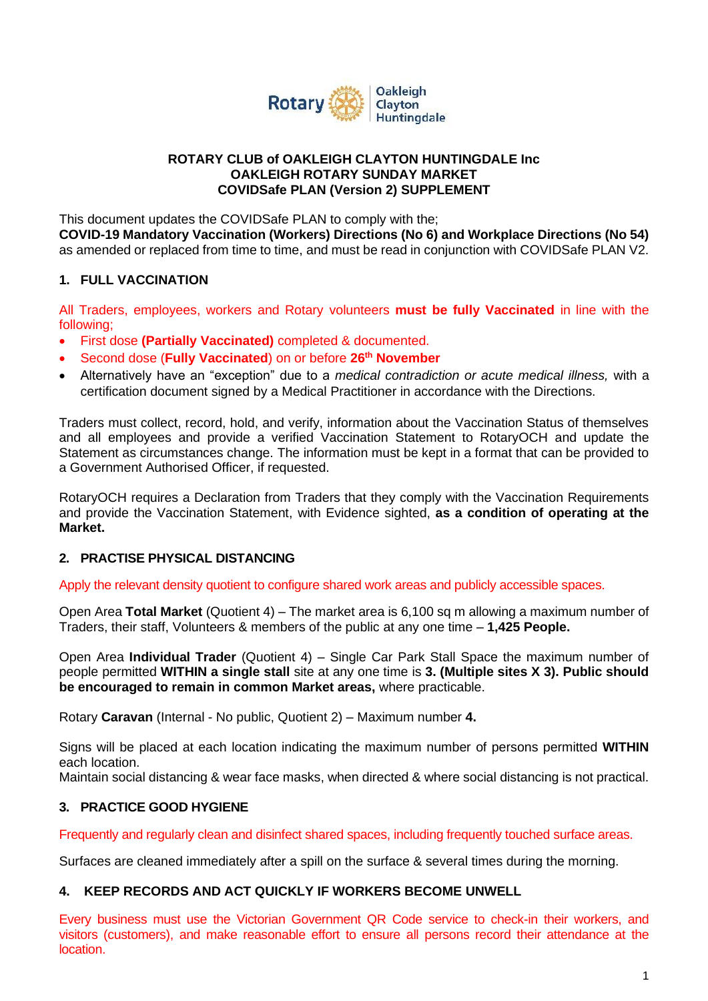

#### **ROTARY CLUB of OAKLEIGH CLAYTON HUNTINGDALE Inc OAKLEIGH ROTARY SUNDAY MARKET COVIDSafe PLAN (Version 2) SUPPLEMENT**

This document updates the COVIDSafe PLAN to comply with the; **COVID-19 Mandatory Vaccination (Workers) Directions (No 6) and Workplace Directions (No 54)** as amended or replaced from time to time, and must be read in conjunction with COVIDSafe PLAN V2.

## **1. FULL VACCINATION**

All Traders, employees, workers and Rotary volunteers **must be fully Vaccinated** in line with the following;

- First dose **(Partially Vaccinated)** completed & documented.
- Second dose (**Fully Vaccinated**) on or before **26th November**
- Alternatively have an "exception" due to a *medical contradiction or acute medical illness,* with a certification document signed by a Medical Practitioner in accordance with the Directions.

Traders must collect, record, hold, and verify, information about the Vaccination Status of themselves and all employees and provide a verified Vaccination Statement to RotaryOCH and update the Statement as circumstances change. The information must be kept in a format that can be provided to a Government Authorised Officer, if requested.

RotaryOCH requires a Declaration from Traders that they comply with the Vaccination Requirements and provide the Vaccination Statement, with Evidence sighted, **as a condition of operating at the Market.**

### **2. PRACTISE PHYSICAL DISTANCING**

Apply the relevant density quotient to configure shared work areas and publicly accessible spaces.

Open Area **Total Market** (Quotient 4) – The market area is 6,100 sq m allowing a maximum number of Traders, their staff, Volunteers & members of the public at any one time – **1,425 People.**

Open Area **Individual Trader** (Quotient 4) – Single Car Park Stall Space the maximum number of people permitted **WITHIN a single stall** site at any one time is **3. (Multiple sites X 3). Public should be encouraged to remain in common Market areas,** where practicable.

Rotary **Caravan** (Internal - No public, Quotient 2) – Maximum number **4.**

Signs will be placed at each location indicating the maximum number of persons permitted **WITHIN** each location.

Maintain social distancing & wear face masks, when directed & where social distancing is not practical.

### **3. PRACTICE GOOD HYGIENE**

Frequently and regularly clean and disinfect shared spaces, including frequently touched surface areas.

Surfaces are cleaned immediately after a spill on the surface & several times during the morning.

### **4. KEEP RECORDS AND ACT QUICKLY IF WORKERS BECOME UNWELL**

Every business must use the Victorian Government QR Code service to check-in their workers, and visitors (customers), and make reasonable effort to ensure all persons record their attendance at the location.